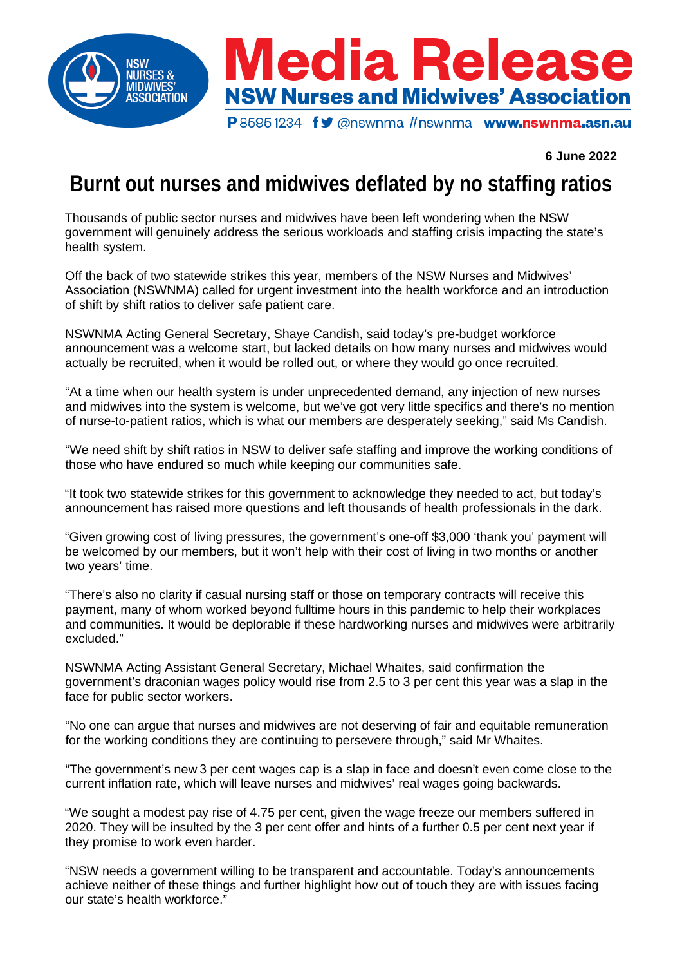

**6 June 2022**

## **Burnt out nurses and midwives deflated by no staffing ratios**

Thousands of public sector nurses and midwives have been left wondering when the NSW government will genuinely address the serious workloads and staffing crisis impacting the state's health system.

Off the back of two statewide strikes this year, members of the NSW Nurses and Midwives' Association (NSWNMA) called for urgent investment into the health workforce and an introduction of shift by shift ratios to deliver safe patient care.

NSWNMA Acting General Secretary, Shaye Candish, said today's pre-budget workforce announcement was a welcome start, but lacked details on how many nurses and midwives would actually be recruited, when it would be rolled out, or where they would go once recruited.

"At a time when our health system is under unprecedented demand, any injection of new nurses and midwives into the system is welcome, but we've got very little specifics and there's no mention of nurse-to-patient ratios, which is what our members are desperately seeking," said Ms Candish.

"We need shift by shift ratios in NSW to deliver safe staffing and improve the working conditions of those who have endured so much while keeping our communities safe.

"It took two statewide strikes for this government to acknowledge they needed to act, but today's announcement has raised more questions and left thousands of health professionals in the dark.

"Given growing cost of living pressures, the government's one-off \$3,000 'thank you' payment will be welcomed by our members, but it won't help with their cost of living in two months or another two years' time.

"There's also no clarity if casual nursing staff or those on temporary contracts will receive this payment, many of whom worked beyond fulltime hours in this pandemic to help their workplaces and communities. It would be deplorable if these hardworking nurses and midwives were arbitrarily excluded."

NSWNMA Acting Assistant General Secretary, Michael Whaites, said confirmation the government's draconian wages policy would rise from 2.5 to 3 per cent this year was a slap in the face for public sector workers.

"No one can argue that nurses and midwives are not deserving of fair and equitable remuneration for the working conditions they are continuing to persevere through," said Mr Whaites.

"The government's new 3 per cent wages cap is a slap in face and doesn't even come close to the current inflation rate, which will leave nurses and midwives' real wages going backwards.

"We sought a modest pay rise of 4.75 per cent, given the wage freeze our members suffered in 2020. They will be insulted by the 3 per cent offer and hints of a further 0.5 per cent next year if they promise to work even harder.

"NSW needs a government willing to be transparent and accountable. Today's announcements achieve neither of these things and further highlight how out of touch they are with issues facing our state's health workforce."